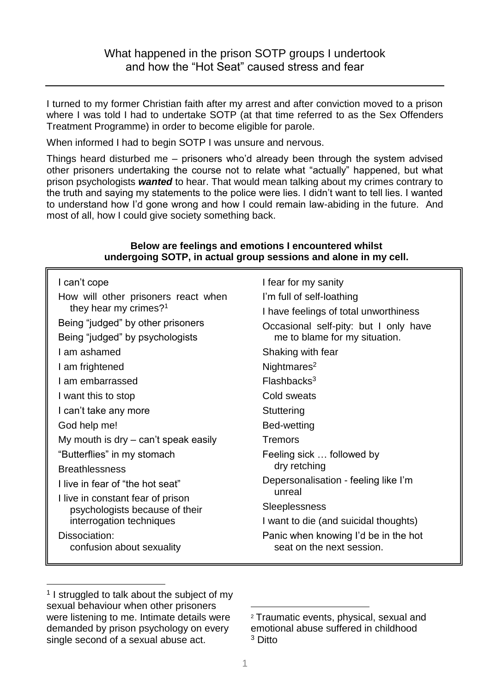I turned to my former Christian faith after my arrest and after conviction moved to a prison where I was told I had to undertake SOTP (at that time referred to as the Sex Offenders Treatment Programme) in order to become eligible for parole.

When informed I had to begin SOTP I was unsure and nervous.

Things heard disturbed me – prisoners who'd already been through the system advised other prisoners undertaking the course not to relate what "actually" happened, but what prison psychologists *wanted* to hear. That would mean talking about my crimes contrary to the truth and saying my statements to the police were lies. I didn't want to tell lies. I wanted to understand how I'd gone wrong and how I could remain law-abiding in the future. And most of all, how I could give society something back.

| I can't cope                         | I fear for my sanity                  |
|--------------------------------------|---------------------------------------|
| How will other prisoners react when  | I'm full of self-loathing             |
| they hear my crimes? <sup>1</sup>    | I have feelings of total unworthiness |
| Being "judged" by other prisoners    | Occasional self-pity: but I only have |
| Being "judged" by psychologists      | me to blame for my situation.         |
| I am ashamed                         | Shaking with fear                     |
| I am frightened                      | Nightmares <sup>2</sup>               |
| I am embarrassed                     | Flashbacks <sup>3</sup>               |
| I want this to stop                  | Cold sweats                           |
| I can't take any more                | Stuttering                            |
| God help me!                         | Bed-wetting                           |
| My mouth is dry – can't speak easily | Tremors                               |
| "Butterflies" in my stomach          | Feeling sick  followed by             |
| <b>Breathlessness</b>                | dry retching                          |
| I live in fear of "the hot seat"     | Depersonalisation - feeling like I'm  |
| I live in constant fear of prison    | unreal                                |
| psychologists because of their       | <b>Sleeplessness</b>                  |
| interrogation techniques             | I want to die (and suicidal thoughts) |
| Dissociation:                        | Panic when knowing I'd be in the hot  |
| confusion about sexuality            | seat on the next session.             |

#### **Below are feelings and emotions I encountered whilst undergoing SOTP, in actual group sessions and alone in my cell.**

1

1

<sup>&</sup>lt;sup>1</sup> I struggled to talk about the subject of my sexual behaviour when other prisoners were listening to me. Intimate details were demanded by prison psychology on every single second of a sexual abuse act.

<sup>2</sup> Traumatic events, physical, sexual and emotional abuse suffered in childhood <sup>3</sup> Ditto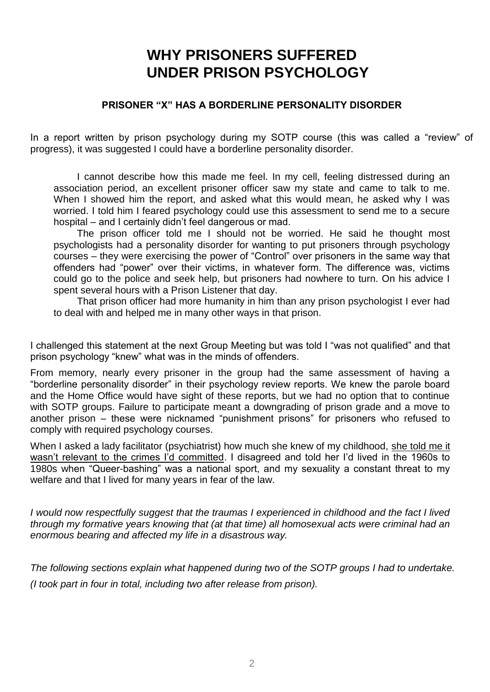# **WHY PRISONERS SUFFERED UNDER PRISON PSYCHOLOGY**

#### **PRISONER "X" HAS A BORDERLINE PERSONALITY DISORDER**

In a report written by prison psychology during my SOTP course (this was called a "review" of progress), it was suggested I could have a borderline personality disorder.

I cannot describe how this made me feel. In my cell, feeling distressed during an association period, an excellent prisoner officer saw my state and came to talk to me. When I showed him the report, and asked what this would mean, he asked why I was worried. I told him I feared psychology could use this assessment to send me to a secure hospital – and I certainly didn't feel dangerous or mad.

The prison officer told me I should not be worried. He said he thought most psychologists had a personality disorder for wanting to put prisoners through psychology courses – they were exercising the power of "Control" over prisoners in the same way that offenders had "power" over their victims, in whatever form. The difference was, victims could go to the police and seek help, but prisoners had nowhere to turn. On his advice I spent several hours with a Prison Listener that day.

That prison officer had more humanity in him than any prison psychologist I ever had to deal with and helped me in many other ways in that prison.

I challenged this statement at the next Group Meeting but was told I "was not qualified" and that prison psychology "knew" what was in the minds of offenders.

From memory, nearly every prisoner in the group had the same assessment of having a "borderline personality disorder" in their psychology review reports. We knew the parole board and the Home Office would have sight of these reports, but we had no option that to continue with SOTP groups. Failure to participate meant a downgrading of prison grade and a move to another prison – these were nicknamed "punishment prisons" for prisoners who refused to comply with required psychology courses.

When I asked a lady facilitator (psychiatrist) how much she knew of my childhood, she told me it wasn't relevant to the crimes I'd committed. I disagreed and told her I'd lived in the 1960s to 1980s when "Queer-bashing" was a national sport, and my sexuality a constant threat to my welfare and that I lived for many years in fear of the law.

*I would now respectfully suggest that the traumas I experienced in childhood and the fact I lived through my formative years knowing that (at that time) all homosexual acts were criminal had an enormous bearing and affected my life in a disastrous way.*

*The following sections explain what happened during two of the SOTP groups I had to undertake. (I took part in four in total, including two after release from prison).*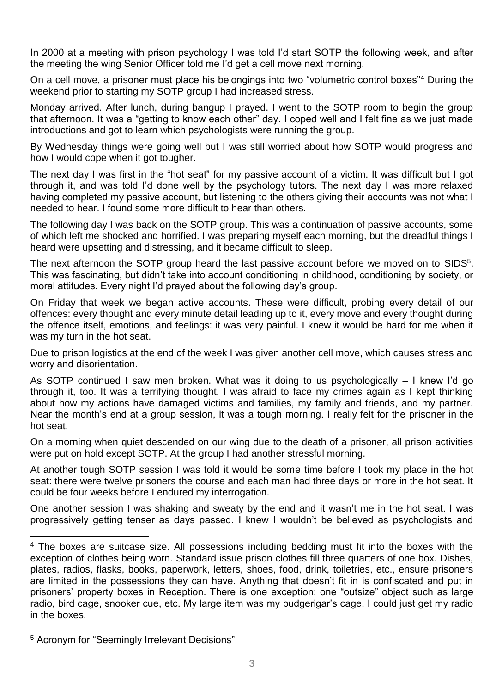In 2000 at a meeting with prison psychology I was told I'd start SOTP the following week, and after the meeting the wing Senior Officer told me I'd get a cell move next morning.

On a cell move, a prisoner must place his belongings into two "volumetric control boxes"<sup>4</sup> During the weekend prior to starting my SOTP group I had increased stress.

Monday arrived. After lunch, during bangup I prayed. I went to the SOTP room to begin the group that afternoon. It was a "getting to know each other" day. I coped well and I felt fine as we just made introductions and got to learn which psychologists were running the group.

By Wednesday things were going well but I was still worried about how SOTP would progress and how I would cope when it got tougher.

The next day I was first in the "hot seat" for my passive account of a victim. It was difficult but I got through it, and was told I'd done well by the psychology tutors. The next day I was more relaxed having completed my passive account, but listening to the others giving their accounts was not what I needed to hear. I found some more difficult to hear than others.

The following day I was back on the SOTP group. This was a continuation of passive accounts, some of which left me shocked and horrified. I was preparing myself each morning, but the dreadful things I heard were upsetting and distressing, and it became difficult to sleep.

The next afternoon the SOTP group heard the last passive account before we moved on to SIDS<sup>5</sup>. This was fascinating, but didn't take into account conditioning in childhood, conditioning by society, or moral attitudes. Every night I'd prayed about the following day's group.

On Friday that week we began active accounts. These were difficult, probing every detail of our offences: every thought and every minute detail leading up to it, every move and every thought during the offence itself, emotions, and feelings: it was very painful. I knew it would be hard for me when it was my turn in the hot seat.

Due to prison logistics at the end of the week I was given another cell move, which causes stress and worry and disorientation.

As SOTP continued I saw men broken. What was it doing to us psychologically – I knew I'd go through it, too. It was a terrifying thought. I was afraid to face my crimes again as I kept thinking about how my actions have damaged victims and families, my family and friends, and my partner. Near the month's end at a group session, it was a tough morning. I really felt for the prisoner in the hot seat.

On a morning when quiet descended on our wing due to the death of a prisoner, all prison activities were put on hold except SOTP. At the group I had another stressful morning.

At another tough SOTP session I was told it would be some time before I took my place in the hot seat: there were twelve prisoners the course and each man had three days or more in the hot seat. It could be four weeks before I endured my interrogation.

One another session I was shaking and sweaty by the end and it wasn't me in the hot seat. I was progressively getting tenser as days passed. I knew I wouldn't be believed as psychologists and

l

<sup>&</sup>lt;sup>4</sup> The boxes are suitcase size. All possessions including bedding must fit into the boxes with the exception of clothes being worn. Standard issue prison clothes fill three quarters of one box. Dishes, plates, radios, flasks, books, paperwork, letters, shoes, food, drink, toiletries, etc., ensure prisoners are limited in the possessions they can have. Anything that doesn't fit in is confiscated and put in prisoners' property boxes in Reception. There is one exception: one "outsize" object such as large radio, bird cage, snooker cue, etc. My large item was my budgerigar's cage. I could just get my radio in the boxes.

<sup>5</sup> Acronym for "Seemingly Irrelevant Decisions"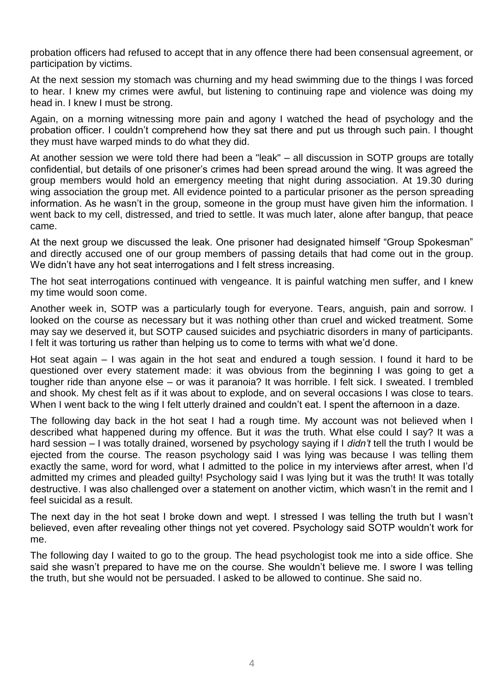probation officers had refused to accept that in any offence there had been consensual agreement, or participation by victims.

At the next session my stomach was churning and my head swimming due to the things I was forced to hear. I knew my crimes were awful, but listening to continuing rape and violence was doing my head in. I knew I must be strong.

Again, on a morning witnessing more pain and agony I watched the head of psychology and the probation officer. I couldn't comprehend how they sat there and put us through such pain. I thought they must have warped minds to do what they did.

At another session we were told there had been a "leak" – all discussion in SOTP groups are totally confidential, but details of one prisoner's crimes had been spread around the wing. It was agreed the group members would hold an emergency meeting that night during association. At 19.30 during wing association the group met. All evidence pointed to a particular prisoner as the person spreading information. As he wasn't in the group, someone in the group must have given him the information. I went back to my cell, distressed, and tried to settle. It was much later, alone after bangup, that peace came.

At the next group we discussed the leak. One prisoner had designated himself "Group Spokesman" and directly accused one of our group members of passing details that had come out in the group. We didn't have any hot seat interrogations and I felt stress increasing.

The hot seat interrogations continued with vengeance. It is painful watching men suffer, and I knew my time would soon come.

Another week in, SOTP was a particularly tough for everyone. Tears, anguish, pain and sorrow. I looked on the course as necessary but it was nothing other than cruel and wicked treatment. Some may say we deserved it, but SOTP caused suicides and psychiatric disorders in many of participants. I felt it was torturing us rather than helping us to come to terms with what we'd done.

Hot seat again – I was again in the hot seat and endured a tough session. I found it hard to be questioned over every statement made: it was obvious from the beginning I was going to get a tougher ride than anyone else – or was it paranoia? It was horrible. I felt sick. I sweated. I trembled and shook. My chest felt as if it was about to explode, and on several occasions I was close to tears. When I went back to the wing I felt utterly drained and couldn't eat. I spent the afternoon in a daze.

The following day back in the hot seat I had a rough time. My account was not believed when I described what happened during my offence. But it *was* the truth. What else could I say? It was a hard session – I was totally drained, worsened by psychology saying if I *didn't* tell the truth I would be ejected from the course. The reason psychology said I was lying was because I was telling them exactly the same, word for word, what I admitted to the police in my interviews after arrest, when I'd admitted my crimes and pleaded guilty! Psychology said I was lying but it was the truth! It was totally destructive. I was also challenged over a statement on another victim, which wasn't in the remit and I feel suicidal as a result.

The next day in the hot seat I broke down and wept. I stressed I was telling the truth but I wasn't believed, even after revealing other things not yet covered. Psychology said SOTP wouldn't work for me.

The following day I waited to go to the group. The head psychologist took me into a side office. She said she wasn't prepared to have me on the course. She wouldn't believe me. I swore I was telling the truth, but she would not be persuaded. I asked to be allowed to continue. She said no.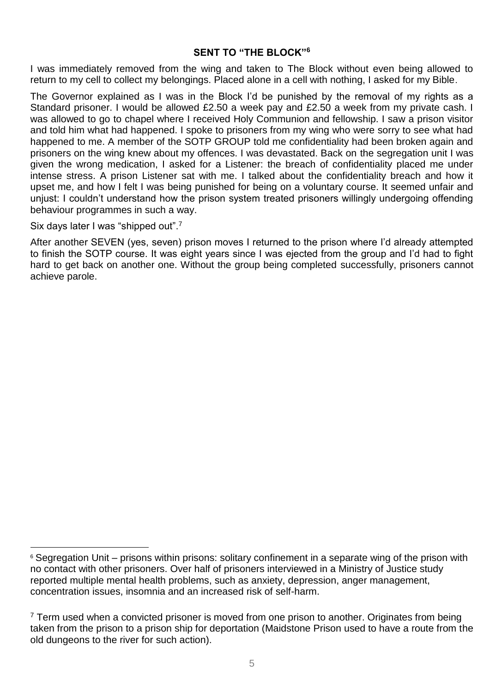#### **SENT TO "THE BLOCK"<sup>6</sup>**

I was immediately removed from the wing and taken to The Block without even being allowed to return to my cell to collect my belongings. Placed alone in a cell with nothing, I asked for my Bible.

The Governor explained as I was in the Block I'd be punished by the removal of my rights as a Standard prisoner. I would be allowed £2.50 a week pay and £2.50 a week from my private cash. I was allowed to go to chapel where I received Holy Communion and fellowship. I saw a prison visitor and told him what had happened. I spoke to prisoners from my wing who were sorry to see what had happened to me. A member of the SOTP GROUP told me confidentiality had been broken again and prisoners on the wing knew about my offences. I was devastated. Back on the segregation unit I was given the wrong medication, I asked for a Listener: the breach of confidentiality placed me under intense stress. A prison Listener sat with me. I talked about the confidentiality breach and how it upset me, and how I felt I was being punished for being on a voluntary course. It seemed unfair and unjust: I couldn't understand how the prison system treated prisoners willingly undergoing offending behaviour programmes in such a way.

Six days later I was "shipped out".<sup>7</sup>

 $\overline{a}$ 

After another SEVEN (yes, seven) prison moves I returned to the prison where I'd already attempted to finish the SOTP course. It was eight years since I was ejected from the group and I'd had to fight hard to get back on another one. Without the group being completed successfully, prisoners cannot achieve parole.

<sup>6</sup> Segregation Unit – prisons within prisons: solitary confinement in a separate wing of the prison with no contact with other prisoners. Over half of prisoners interviewed in a Ministry of Justice study reported multiple mental health problems, such as anxiety, depression, anger management, concentration issues, insomnia and an increased risk of self-harm.

 $7$  Term used when a convicted prisoner is moved from one prison to another. Originates from being taken from the prison to a prison ship for deportation (Maidstone Prison used to have a route from the old dungeons to the river for such action).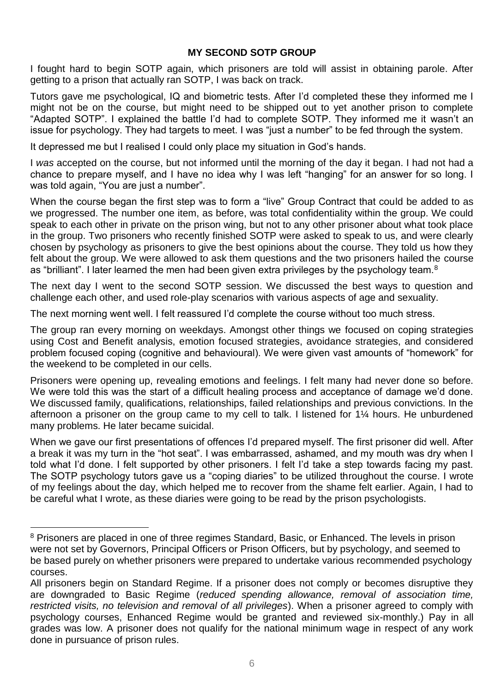#### **MY SECOND SOTP GROUP**

I fought hard to begin SOTP again, which prisoners are told will assist in obtaining parole. After getting to a prison that actually ran SOTP, I was back on track.

Tutors gave me psychological, IQ and biometric tests. After I'd completed these they informed me I might not be on the course, but might need to be shipped out to yet another prison to complete "Adapted SOTP". I explained the battle I'd had to complete SOTP. They informed me it wasn't an issue for psychology. They had targets to meet. I was "just a number" to be fed through the system.

It depressed me but I realised I could only place my situation in God's hands.

I *was* accepted on the course, but not informed until the morning of the day it began. I had not had a chance to prepare myself, and I have no idea why I was left "hanging" for an answer for so long. I was told again, "You are just a number".

When the course began the first step was to form a "live" Group Contract that could be added to as we progressed. The number one item, as before, was total confidentiality within the group. We could speak to each other in private on the prison wing, but not to any other prisoner about what took place in the group. Two prisoners who recently finished SOTP were asked to speak to us, and were clearly chosen by psychology as prisoners to give the best opinions about the course. They told us how they felt about the group. We were allowed to ask them questions and the two prisoners hailed the course as "brilliant". I later learned the men had been given extra privileges by the psychology team.  $8$ 

The next day I went to the second SOTP session. We discussed the best ways to question and challenge each other, and used role-play scenarios with various aspects of age and sexuality.

The next morning went well. I felt reassured I'd complete the course without too much stress.

The group ran every morning on weekdays. Amongst other things we focused on coping strategies using Cost and Benefit analysis, emotion focused strategies, avoidance strategies, and considered problem focused coping (cognitive and behavioural). We were given vast amounts of "homework" for the weekend to be completed in our cells.

Prisoners were opening up, revealing emotions and feelings. I felt many had never done so before. We were told this was the start of a difficult healing process and acceptance of damage we'd done. We discussed family, qualifications, relationships, failed relationships and previous convictions. In the afternoon a prisoner on the group came to my cell to talk. I listened for 1¼ hours. He unburdened many problems. He later became suicidal.

When we gave our first presentations of offences I'd prepared myself. The first prisoner did well. After a break it was my turn in the "hot seat". I was embarrassed, ashamed, and my mouth was dry when I told what I'd done. I felt supported by other prisoners. I felt I'd take a step towards facing my past. The SOTP psychology tutors gave us a "coping diaries" to be utilized throughout the course. I wrote of my feelings about the day, which helped me to recover from the shame felt earlier. Again, I had to be careful what I wrote, as these diaries were going to be read by the prison psychologists.

 $\overline{a}$ 

<sup>&</sup>lt;sup>8</sup> Prisoners are placed in one of three regimes Standard, Basic, or Enhanced. The levels in prison were not set by Governors, Principal Officers or Prison Officers, but by psychology, and seemed to be based purely on whether prisoners were prepared to undertake various recommended psychology courses.

All prisoners begin on Standard Regime. If a prisoner does not comply or becomes disruptive they are downgraded to Basic Regime (*reduced spending allowance, removal of association time, restricted visits, no television and removal of all privileges*). When a prisoner agreed to comply with psychology courses, Enhanced Regime would be granted and reviewed six-monthly.) Pay in all grades was low. A prisoner does not qualify for the national minimum wage in respect of any work done in pursuance of prison rules.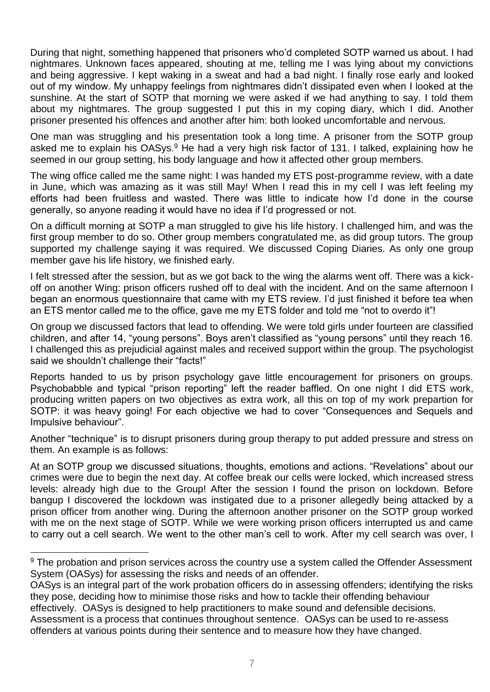During that night, something happened that prisoners who'd completed SOTP warned us about. I had nightmares. Unknown faces appeared, shouting at me, telling me I was lying about my convictions and being aggressive. I kept waking in a sweat and had a bad night. I finally rose early and looked out of my window. My unhappy feelings from nightmares didn't dissipated even when I looked at the sunshine. At the start of SOTP that morning we were asked if we had anything to say. I told them about my nightmares. The group suggested I put this in my coping diary, which I did. Another prisoner presented his offences and another after him: both looked uncomfortable and nervous.

One man was struggling and his presentation took a long time. A prisoner from the SOTP group asked me to explain his  $OASys.<sup>9</sup>$  He had a very high risk factor of 131. I talked, explaining how he seemed in our group setting, his body language and how it affected other group members.

The wing office called me the same night: I was handed my ETS post-programme review, with a date in June, which was amazing as it was still May! When I read this in my cell I was left feeling my efforts had been fruitless and wasted. There was little to indicate how I'd done in the course generally, so anyone reading it would have no idea if I'd progressed or not.

On a difficult morning at SOTP a man struggled to give his life history. I challenged him, and was the first group member to do so. Other group members congratulated me, as did group tutors. The group supported my challenge saying it was required. We discussed Coping Diaries. As only one group member gave his life history, we finished early.

I felt stressed after the session, but as we got back to the wing the alarms went off. There was a kickoff on another Wing: prison officers rushed off to deal with the incident. And on the same afternoon I began an enormous questionnaire that came with my ETS review. I'd just finished it before tea when an ETS mentor called me to the office, gave me my ETS folder and told me "not to overdo it"!

On group we discussed factors that lead to offending. We were told girls under fourteen are classified children, and after 14, "young persons". Boys aren't classified as "young persons" until they reach 16. I challenged this as prejudicial against males and received support within the group. The psychologist said we shouldn't challenge their "facts!"

Reports handed to us by prison psychology gave little encouragement for prisoners on groups. Psychobabble and typical "prison reporting" left the reader baffled. On one night I did ETS work, producing written papers on two objectives as extra work, all this on top of my work prepartion for SOTP: it was heavy going! For each objective we had to cover "Consequences and Sequels and Impulsive behaviour".

Another "technique" is to disrupt prisoners during group therapy to put added pressure and stress on them. An example is as follows:

At an SOTP group we discussed situations, thoughts, emotions and actions. "Revelations" about our crimes were due to begin the next day. At coffee break our cells were locked, which increased stress levels: already high due to the Group! After the session I found the prison on lockdown. Before bangup I discovered the lockdown was instigated due to a prisoner allegedly being attacked by a prison officer from another wing. During the afternoon another prisoner on the SOTP group worked with me on the next stage of SOTP. While we were working prison officers interrupted us and came to carry out a cell search. We went to the other man's cell to work. After my cell search was over, I

 $\overline{a}$ 

<sup>&</sup>lt;sup>9</sup> The probation and prison services across the country use a system called the Offender Assessment System (OASys) for assessing the risks and needs of an offender.

OASys is an integral part of the work probation officers do in assessing offenders; identifying the risks they pose, deciding how to minimise those risks and how to tackle their offending behaviour

effectively. OASys is designed to help practitioners to make sound and defensible decisions.

Assessment is a process that continues throughout sentence. OASys can be used to re-assess offenders at various points during their sentence and to measure how they have changed.